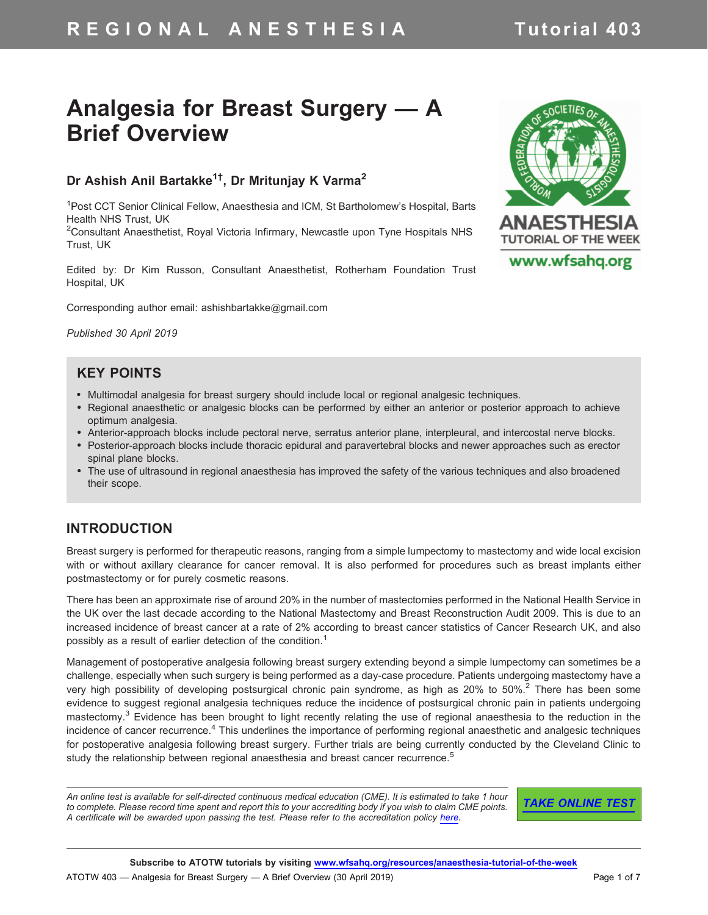# R E G I O N A L A N E S T H E S I A Tutorial 403

# Analgesia for Breast Surgery — A Brief Overview

# Dr Ashish Anil Bartakke<sup>1†</sup>, Dr Mritunjay K Varma<sup>2</sup>

<sup>1</sup>Post CCT Senior Clinical Fellow, Anaesthesia and ICM, St Bartholomew's Hospital, Barts Health NHS Trust, UK

<sup>2</sup>Consultant Anaesthetist, Royal Victoria Infirmary, Newcastle upon Tyne Hospitals NHS Trust, UK

Edited by: Dr Kim Russon, Consultant Anaesthetist, Rotherham Foundation Trust Hospital, UK

Corresponding author email: ashishbartakke@gmail.com

Published 30 April 2019

### KEY POINTS

- Multimodal analgesia for breast surgery should include local or regional analgesic techniques.
- Regional anaesthetic or analgesic blocks can be performed by either an anterior or posterior approach to achieve optimum analgesia.
- Anterior-approach blocks include pectoral nerve, serratus anterior plane, interpleural, and intercostal nerve blocks.
- Posterior-approach blocks include thoracic epidural and paravertebral blocks and newer approaches such as erector spinal plane blocks.
- The use of ultrasound in regional anaesthesia has improved the safety of the various techniques and also broadened their scope.

### INTRODUCTION

Breast surgery is performed for therapeutic reasons, ranging from a simple lumpectomy to mastectomy and wide local excision with or without axillary clearance for cancer removal. It is also performed for procedures such as breast implants either postmastectomy or for purely cosmetic reasons.

There has been an approximate rise of around 20% in the number of mastectomies performed in the National Health Service in the UK over the last decade according to the National Mastectomy and Breast Reconstruction Audit 2009. This is due to an increased incidence of breast cancer at a rate of 2% according to breast cancer statistics of Cancer Research UK, and also possibly as a result of earlier detection of the condition.<sup>1</sup>

Management of postoperative analgesia following breast surgery extending beyond a simple lumpectomy can sometimes be a challenge, especially when such surgery is being performed as a day-case procedure. Patients undergoing mastectomy have a very high possibility of developing postsurgical chronic pain syndrome, as high as 20% to 50%.<sup>2</sup> There has been some evidence to suggest regional analgesia techniques reduce the incidence of postsurgical chronic pain in patients undergoing mastectomy.<sup>3</sup> Evidence has been brought to light recently relating the use of regional anaesthesia to the reduction in the incidence of cancer recurrence.<sup>4</sup> This underlines the importance of performing regional anaesthetic and analgesic techniques for postoperative analgesia following breast surgery. Further trials are being currently conducted by the Cleveland Clinic to study the relationship between regional anaesthesia and breast cancer recurrence.<sup>5</sup>

An online test is available for self-directed continuous medical education (CME). It is estimated to take 1 hour to complete. Please record time spent and report this to your accrediting body if you wish to claim CME points. A certificate will be awarded upon passing the test. Please refer to the accreditation policy [here.](https://www.wfsahq.org/cme)

**[TAKE ONLINE TEST](https://www.proprofs.com/quiz-school/story.php?title=breast-analgesia-regional-techniqueskq)** 

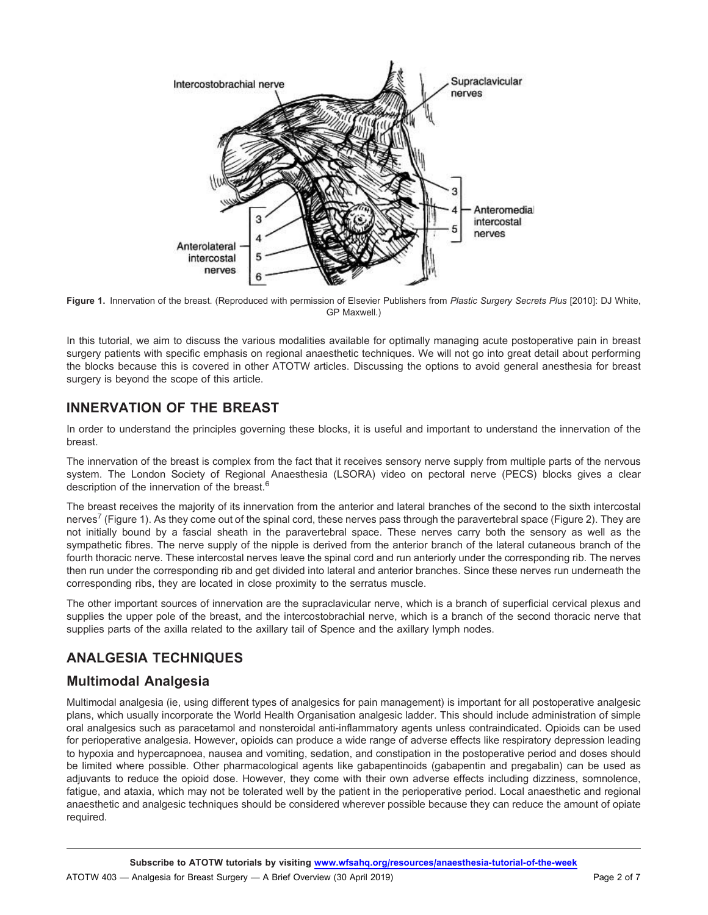



In this tutorial, we aim to discuss the various modalities available for optimally managing acute postoperative pain in breast surgery patients with specific emphasis on regional anaesthetic techniques. We will not go into great detail about performing the blocks because this is covered in other ATOTW articles. Discussing the options to avoid general anesthesia for breast surgery is beyond the scope of this article.

# INNERVATION OF THE BREAST

In order to understand the principles governing these blocks, it is useful and important to understand the innervation of the breast.

The innervation of the breast is complex from the fact that it receives sensory nerve supply from multiple parts of the nervous system. The London Society of Regional Anaesthesia (LSORA) video on pectoral nerve (PECS) blocks gives a clear description of the innervation of the breast.<sup>6</sup>

The breast receives the majority of its innervation from the anterior and lateral branches of the second to the sixth intercostal nerves<sup>7</sup> (Figure 1). As they come out of the spinal cord, these nerves pass through the paravertebral space (Figure 2). They are not initially bound by a fascial sheath in the paravertebral space. These nerves carry both the sensory as well as the sympathetic fibres. The nerve supply of the nipple is derived from the anterior branch of the lateral cutaneous branch of the fourth thoracic nerve. These intercostal nerves leave the spinal cord and run anteriorly under the corresponding rib. The nerves then run under the corresponding rib and get divided into lateral and anterior branches. Since these nerves run underneath the corresponding ribs, they are located in close proximity to the serratus muscle.

The other important sources of innervation are the supraclavicular nerve, which is a branch of superficial cervical plexus and supplies the upper pole of the breast, and the intercostobrachial nerve, which is a branch of the second thoracic nerve that supplies parts of the axilla related to the axillary tail of Spence and the axillary lymph nodes.

# ANALGESIA TECHNIQUES

# Multimodal Analgesia

Multimodal analgesia (ie, using different types of analgesics for pain management) is important for all postoperative analgesic plans, which usually incorporate the World Health Organisation analgesic ladder. This should include administration of simple oral analgesics such as paracetamol and nonsteroidal anti-inflammatory agents unless contraindicated. Opioids can be used for perioperative analgesia. However, opioids can produce a wide range of adverse effects like respiratory depression leading to hypoxia and hypercapnoea, nausea and vomiting, sedation, and constipation in the postoperative period and doses should be limited where possible. Other pharmacological agents like gabapentinoids (gabapentin and pregabalin) can be used as adjuvants to reduce the opioid dose. However, they come with their own adverse effects including dizziness, somnolence, fatigue, and ataxia, which may not be tolerated well by the patient in the perioperative period. Local anaesthetic and regional anaesthetic and analgesic techniques should be considered wherever possible because they can reduce the amount of opiate required.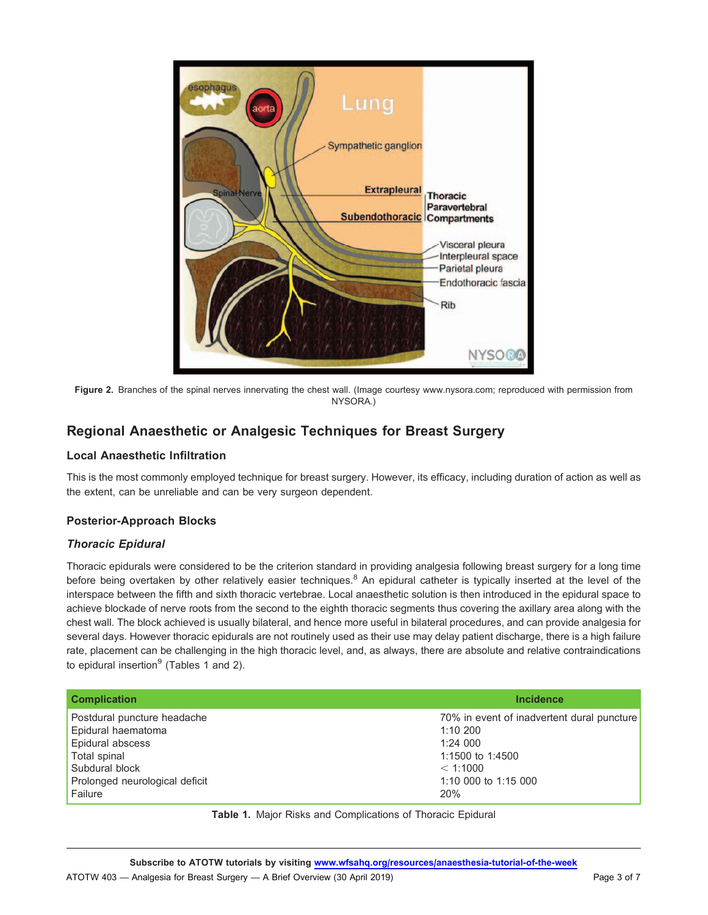

Figure 2. Branches of the spinal nerves innervating the chest wall. (Image courtesy www.nysora.com; reproduced with permission from NYSORA.)

# Regional Anaesthetic or Analgesic Techniques for Breast Surgery

#### Local Anaesthetic Infiltration

This is the most commonly employed technique for breast surgery. However, its efficacy, including duration of action as well as the extent, can be unreliable and can be very surgeon dependent.

#### Posterior-Approach Blocks

#### Thoracic Epidural

Thoracic epidurals were considered to be the criterion standard in providing analgesia following breast surgery for a long time before being overtaken by other relatively easier techniques.<sup>8</sup> An epidural catheter is typically inserted at the level of the interspace between the fifth and sixth thoracic vertebrae. Local anaesthetic solution is then introduced in the epidural space to achieve blockade of nerve roots from the second to the eighth thoracic segments thus covering the axillary area along with the chest wall. The block achieved is usually bilateral, and hence more useful in bilateral procedures, and can provide analgesia for several days. However thoracic epidurals are not routinely used as their use may delay patient discharge, there is a high failure rate, placement can be challenging in the high thoracic level, and, as always, there are absolute and relative contraindications to epidural insertion $9$  (Tables 1 and 2).

| <b>Complication</b>            | <b>Incidence</b>                           |
|--------------------------------|--------------------------------------------|
| Postdural puncture headache    | 70% in event of inadvertent dural puncture |
| Epidural haematoma             | 1:10200                                    |
| <b>Epidural abscess</b>        | 1:24000                                    |
| Total spinal                   | 1:1500 to 1:4500                           |
| Subdural block                 | < 1:1000                                   |
| Prolonged neurological deficit | 1:10 000 to 1:15 000                       |
| Failure                        | 20%                                        |

Table 1. Major Risks and Complications of Thoracic Epidural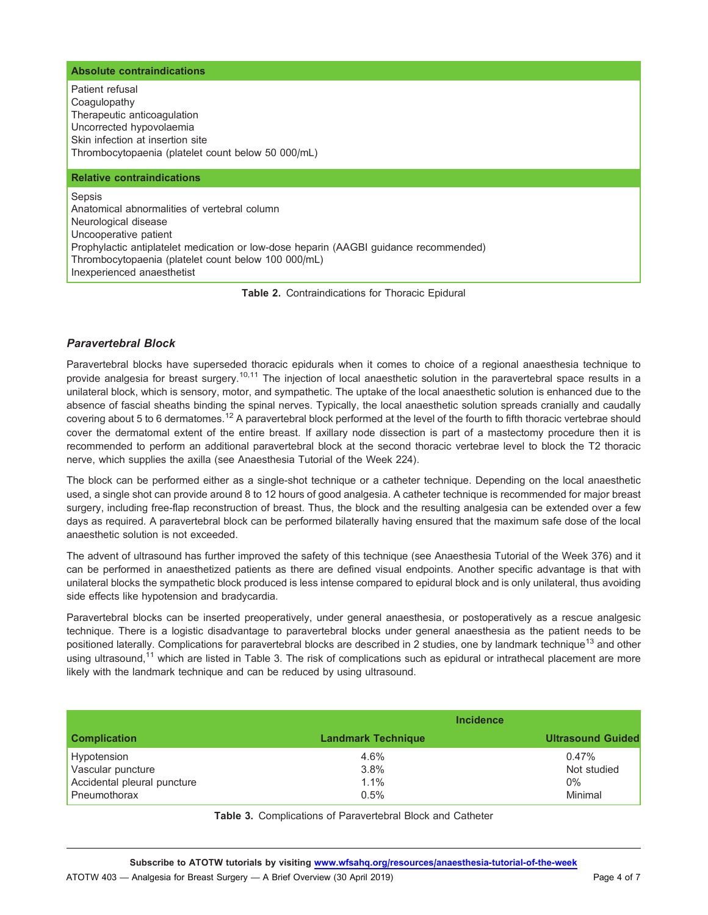#### Absolute contraindications

Patient refusal Coagulopathy Therapeutic anticoagulation Uncorrected hypovolaemia Skin infection at insertion site Thrombocytopaenia (platelet count below 50 000/mL) Relative contraindications

**Sepsis** Anatomical abnormalities of vertebral column Neurological disease Uncooperative patient Prophylactic antiplatelet medication or low-dose heparin (AAGBI guidance recommended) Thrombocytopaenia (platelet count below 100 000/mL) Inexperienced anaesthetist

Table 2. Contraindications for Thoracic Epidural

#### Paravertebral Block

Paravertebral blocks have superseded thoracic epidurals when it comes to choice of a regional anaesthesia technique to provide analgesia for breast surgery.<sup>10,11</sup> The injection of local anaesthetic solution in the paravertebral space results in a unilateral block, which is sensory, motor, and sympathetic. The uptake of the local anaesthetic solution is enhanced due to the absence of fascial sheaths binding the spinal nerves. Typically, the local anaesthetic solution spreads cranially and caudally covering about 5 to 6 dermatomes.<sup>12</sup> A paravertebral block performed at the level of the fourth to fifth thoracic vertebrae should cover the dermatomal extent of the entire breast. If axillary node dissection is part of a mastectomy procedure then it is recommended to perform an additional paravertebral block at the second thoracic vertebrae level to block the T2 thoracic nerve, which supplies the axilla (see Anaesthesia Tutorial of the Week 224).

The block can be performed either as a single-shot technique or a catheter technique. Depending on the local anaesthetic used, a single shot can provide around 8 to 12 hours of good analgesia. A catheter technique is recommended for major breast surgery, including free-flap reconstruction of breast. Thus, the block and the resulting analgesia can be extended over a few days as required. A paravertebral block can be performed bilaterally having ensured that the maximum safe dose of the local anaesthetic solution is not exceeded.

The advent of ultrasound has further improved the safety of this technique (see Anaesthesia Tutorial of the Week 376) and it can be performed in anaesthetized patients as there are defined visual endpoints. Another specific advantage is that with unilateral blocks the sympathetic block produced is less intense compared to epidural block and is only unilateral, thus avoiding side effects like hypotension and bradycardia.

Paravertebral blocks can be inserted preoperatively, under general anaesthesia, or postoperatively as a rescue analgesic technique. There is a logistic disadvantage to paravertebral blocks under general anaesthesia as the patient needs to be positioned laterally. Complications for paravertebral blocks are described in 2 studies, one by landmark technique<sup>13</sup> and other using ultrasound.<sup>11</sup> which are listed in Table 3. The risk of complications such as epidural or intrathecal placement are more likely with the landmark technique and can be reduced by using ultrasound.

|                             | <b>Incidence</b>          |                          |
|-----------------------------|---------------------------|--------------------------|
| <b>Complication</b>         | <b>Landmark Technique</b> | <b>Ultrasound Guided</b> |
| Hypotension                 | 4.6%                      | $0.47\%$                 |
| Vascular puncture           | 3.8%                      | Not studied              |
| Accidental pleural puncture | 1.1%                      | $0\%$                    |
| Pneumothorax                | 0.5%                      | Minimal                  |

Table 3. Complications of Paravertebral Block and Catheter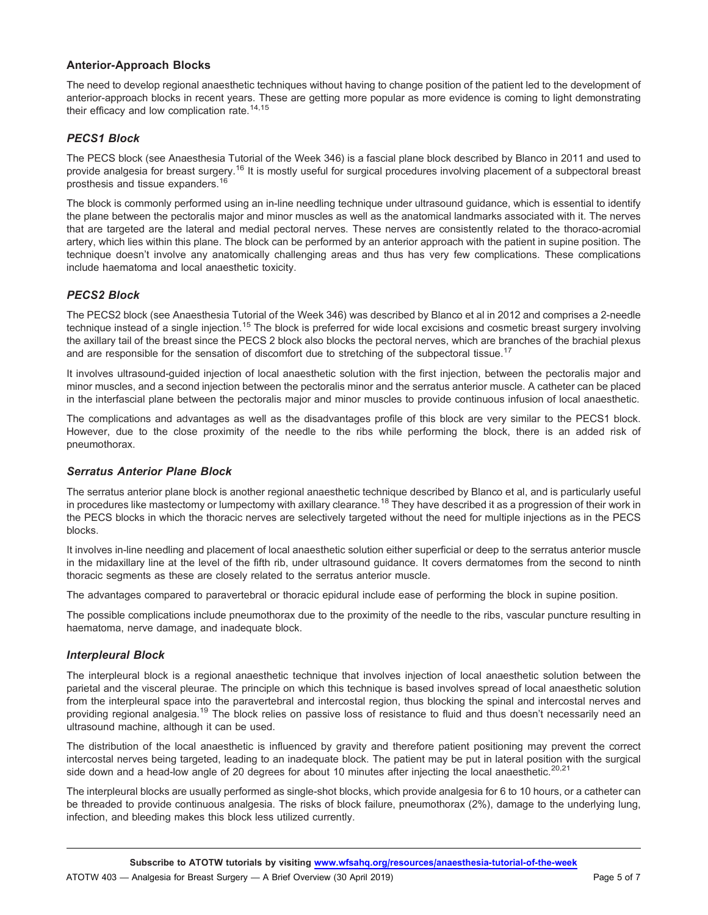#### Anterior-Approach Blocks

The need to develop regional anaesthetic techniques without having to change position of the patient led to the development of anterior-approach blocks in recent years. These are getting more popular as more evidence is coming to light demonstrating their efficacy and low complication rate.<sup>14,15</sup>

#### PECS1 Block

The PECS block (see Anaesthesia Tutorial of the Week 346) is a fascial plane block described by Blanco in 2011 and used to provide analgesia for breast surgery.<sup>16</sup> It is mostly useful for surgical procedures involving placement of a subpectoral breast prosthesis and tissue expanders.<sup>16</sup>

The block is commonly performed using an in-line needling technique under ultrasound guidance, which is essential to identify the plane between the pectoralis major and minor muscles as well as the anatomical landmarks associated with it. The nerves that are targeted are the lateral and medial pectoral nerves. These nerves are consistently related to the thoraco-acromial artery, which lies within this plane. The block can be performed by an anterior approach with the patient in supine position. The technique doesn't involve any anatomically challenging areas and thus has very few complications. These complications include haematoma and local anaesthetic toxicity.

#### PECS2 Block

The PECS2 block (see Anaesthesia Tutorial of the Week 346) was described by Blanco et al in 2012 and comprises a 2-needle technique instead of a single injection.<sup>15</sup> The block is preferred for wide local excisions and cosmetic breast surgery involving the axillary tail of the breast since the PECS 2 block also blocks the pectoral nerves, which are branches of the brachial plexus and are responsible for the sensation of discomfort due to stretching of the subpectoral tissue.<sup>17</sup>

It involves ultrasound-guided injection of local anaesthetic solution with the first injection, between the pectoralis major and minor muscles, and a second injection between the pectoralis minor and the serratus anterior muscle. A catheter can be placed in the interfascial plane between the pectoralis major and minor muscles to provide continuous infusion of local anaesthetic.

The complications and advantages as well as the disadvantages profile of this block are very similar to the PECS1 block. However, due to the close proximity of the needle to the ribs while performing the block, there is an added risk of pneumothorax.

#### Serratus Anterior Plane Block

The serratus anterior plane block is another regional anaesthetic technique described by Blanco et al, and is particularly useful in procedures like mastectomy or lumpectomy with axillary clearance.<sup>18</sup> They have described it as a progression of their work in the PECS blocks in which the thoracic nerves are selectively targeted without the need for multiple injections as in the PECS blocks.

It involves in-line needling and placement of local anaesthetic solution either superficial or deep to the serratus anterior muscle in the midaxillary line at the level of the fifth rib, under ultrasound guidance. It covers dermatomes from the second to ninth thoracic segments as these are closely related to the serratus anterior muscle.

The advantages compared to paravertebral or thoracic epidural include ease of performing the block in supine position.

The possible complications include pneumothorax due to the proximity of the needle to the ribs, vascular puncture resulting in haematoma, nerve damage, and inadequate block.

#### Interpleural Block

The interpleural block is a regional anaesthetic technique that involves injection of local anaesthetic solution between the parietal and the visceral pleurae. The principle on which this technique is based involves spread of local anaesthetic solution from the interpleural space into the paravertebral and intercostal region, thus blocking the spinal and intercostal nerves and providing regional analgesia.<sup>19</sup> The block relies on passive loss of resistance to fluid and thus doesn't necessarily need an ultrasound machine, although it can be used.

The distribution of the local anaesthetic is influenced by gravity and therefore patient positioning may prevent the correct intercostal nerves being targeted, leading to an inadequate block. The patient may be put in lateral position with the surgical side down and a head-low angle of 20 degrees for about 10 minutes after injecting the local anaesthetic.<sup>20,21</sup>

The interpleural blocks are usually performed as single-shot blocks, which provide analgesia for 6 to 10 hours, or a catheter can be threaded to provide continuous analgesia. The risks of block failure, pneumothorax (2%), damage to the underlying lung, infection, and bleeding makes this block less utilized currently.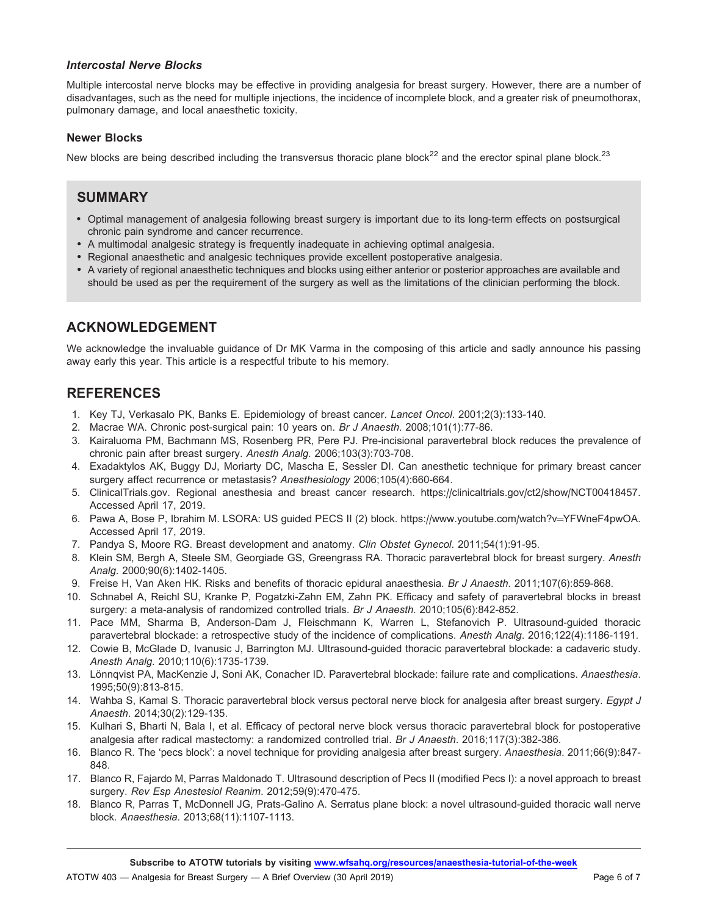#### Intercostal Nerve Blocks

Multiple intercostal nerve blocks may be effective in providing analgesia for breast surgery. However, there are a number of disadvantages, such as the need for multiple injections, the incidence of incomplete block, and a greater risk of pneumothorax, pulmonary damage, and local anaesthetic toxicity.

#### Newer Blocks

New blocks are being described including the transversus thoracic plane block $^{22}$  and the erector spinal plane block. $^{23}$ 

## SUMMARY

- Optimal management of analgesia following breast surgery is important due to its long-term effects on postsurgical chronic pain syndrome and cancer recurrence.
- A multimodal analgesic strategy is frequently inadequate in achieving optimal analgesia.
- Regional anaesthetic and analgesic techniques provide excellent postoperative analgesia.
- A variety of regional anaesthetic techniques and blocks using either anterior or posterior approaches are available and should be used as per the requirement of the surgery as well as the limitations of the clinician performing the block.

# ACKNOWLEDGEMENT

We acknowledge the invaluable guidance of Dr MK Varma in the composing of this article and sadly announce his passing away early this year. This article is a respectful tribute to his memory.

# **REFERENCES**

- 1. Key TJ, Verkasalo PK, Banks E. Epidemiology of breast cancer. Lancet Oncol. 2001;2(3):133-140.
- 2. Macrae WA. Chronic post-surgical pain: 10 years on. Br J Anaesth. 2008;101(1):77-86.
- 3. Kairaluoma PM, Bachmann MS, Rosenberg PR, Pere PJ. Pre-incisional paravertebral block reduces the prevalence of chronic pain after breast surgery. Anesth Analg. 2006;103(3):703-708.
- 4. Exadaktylos AK, Buggy DJ, Moriarty DC, Mascha E, Sessler DI. Can anesthetic technique for primary breast cancer surgery affect recurrence or metastasis? Anesthesiology 2006;105(4):660-664.
- 5. ClinicalTrials.gov. Regional anesthesia and breast cancer research. https://clinicaltrials.gov/ct2/show/NCT00418457. Accessed April 17, 2019.
- 6. Pawa A, Bose P, Ibrahim M. LSORA: US guided PECS II (2) block. https://www.youtube.com/watch?v=YFWneF4pwOA. Accessed April 17, 2019.
- 7. Pandya S, Moore RG. Breast development and anatomy. Clin Obstet Gynecol. 2011;54(1):91-95.
- 8. Klein SM, Bergh A, Steele SM, Georgiade GS, Greengrass RA. Thoracic paravertebral block for breast surgery. Anesth Analg. 2000;90(6):1402-1405.
- 9. Freise H, Van Aken HK. Risks and benefits of thoracic epidural anaesthesia. Br J Anaesth. 2011;107(6):859-868.
- 10. Schnabel A, Reichl SU, Kranke P, Pogatzki-Zahn EM, Zahn PK. Efficacy and safety of paravertebral blocks in breast surgery: a meta-analysis of randomized controlled trials. Br J Anaesth. 2010;105(6):842-852.
- 11. Pace MM, Sharma B, Anderson-Dam J, Fleischmann K, Warren L, Stefanovich P. Ultrasound-guided thoracic paravertebral blockade: a retrospective study of the incidence of complications. Anesth Analg. 2016;122(4):1186-1191.
- 12. Cowie B, McGlade D, Ivanusic J, Barrington MJ. Ultrasound-guided thoracic paravertebral blockade: a cadaveric study. Anesth Analg. 2010;110(6):1735-1739.
- 13. Lönnqvist PA, MacKenzie J, Soni AK, Conacher ID. Paravertebral blockade: failure rate and complications. Anaesthesia. 1995;50(9):813-815.
- 14. Wahba S, Kamal S. Thoracic paravertebral block versus pectoral nerve block for analgesia after breast surgery. Egypt J Anaesth. 2014;30(2):129-135.
- 15. Kulhari S, Bharti N, Bala I, et al. Efficacy of pectoral nerve block versus thoracic paravertebral block for postoperative analgesia after radical mastectomy: a randomized controlled trial. Br J Anaesth. 2016;117(3):382-386.
- 16. Blanco R. The 'pecs block': a novel technique for providing analgesia after breast surgery. Anaesthesia. 2011;66(9):847- 848.
- 17. Blanco R, Fajardo M, Parras Maldonado T. Ultrasound description of Pecs II (modified Pecs I): a novel approach to breast surgery. Rev Esp Anestesiol Reanim. 2012;59(9):470-475.
- 18. Blanco R, Parras T, McDonnell JG, Prats-Galino A. Serratus plane block: a novel ultrasound-guided thoracic wall nerve block. Anaesthesia. 2013;68(11):1107-1113.